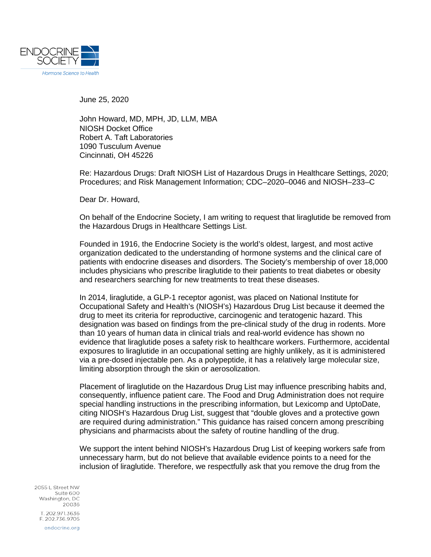

June 25, 2020

John Howard, MD, MPH, JD, LLM, MBA NIOSH Docket Office Robert A. Taft Laboratories 1090 Tusculum Avenue Cincinnati, OH 45226

Re: Hazardous Drugs: Draft NIOSH List of Hazardous Drugs in Healthcare Settings, 2020; Procedures; and Risk Management Information; CDC–2020–0046 and NIOSH–233–C

Dear Dr. Howard,

On behalf of the Endocrine Society, I am writing to request that liraglutide be removed from the Hazardous Drugs in Healthcare Settings List.

Founded in 1916, the Endocrine Society is the world's oldest, largest, and most active organization dedicated to the understanding of hormone systems and the clinical care of patients with endocrine diseases and disorders. The Society's membership of over 18,000 includes physicians who prescribe liraglutide to their patients to treat diabetes or obesity and researchers searching for new treatments to treat these diseases.

In 2014, liraglutide, a GLP-1 receptor agonist, was placed on National Institute for Occupational Safety and Health's (NIOSH's) Hazardous Drug List because it deemed the drug to meet its criteria for reproductive, carcinogenic and teratogenic hazard. This designation was based on findings from the pre-clinical study of the drug in rodents. More than 10 years of human data in clinical trials and real-world evidence has shown no evidence that liraglutide poses a safety risk to healthcare workers. Furthermore, accidental exposures to liraglutide in an occupational setting are highly unlikely, as it is administered via a pre-dosed injectable pen. As a polypeptide, it has a relatively large molecular size, limiting absorption through the skin or aerosolization.

Placement of liraglutide on the Hazardous Drug List may influence prescribing habits and, consequently, influence patient care. The Food and Drug Administration does not require special handling instructions in the prescribing information, but Lexicomp and UptoDate, citing NIOSH's Hazardous Drug List, suggest that "double gloves and a protective gown are required during administration." This guidance has raised concern among prescribing physicians and pharmacists about the safety of routine handling of the drug.

We support the intent behind NIOSH's Hazardous Drug List of keeping workers safe from unnecessary harm, but do not believe that available evidence points to a need for the inclusion of liraglutide. Therefore, we respectfully ask that you remove the drug from the

2055 | Street NW Suite 600 Washington, DC 20036 T. 202.971.3636 F. 202.736.9705 endocrine.org